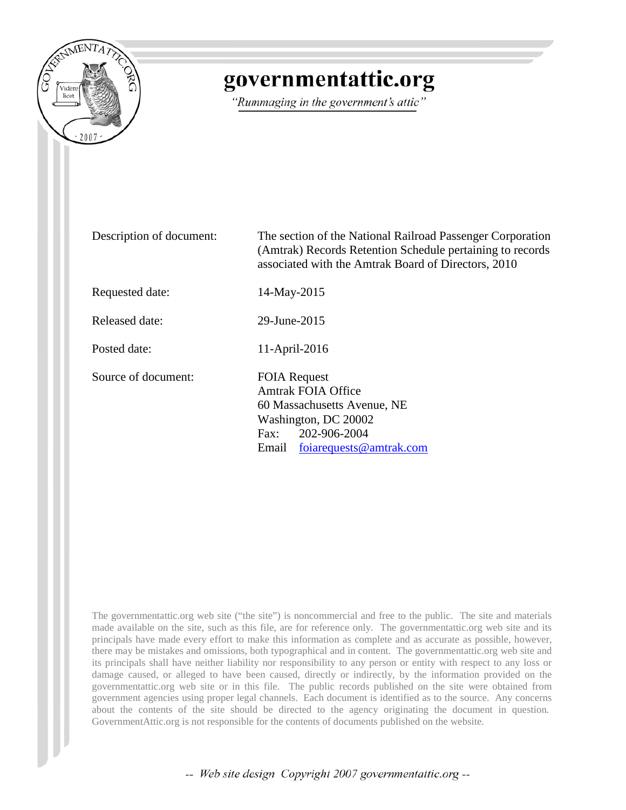

## governmentattic.org

"Rummaging in the government's attic"

Description of document: The section of the National Railroad Passenger Corporation (Amtrak) Records Retention Schedule pertaining to records associated with the Amtrak Board of Directors, 2010 Requested date: 14-May-2015 Released date: 29-June-2015 Posted date: 11-April-2016 Source of document: FOIA Request Amtrak FOIA Office 60 Massachusetts Avenue, NE Washington, DC 20002 Fax: 202-906-2004 Email [foiarequests@amtrak.com](mailto:foiarequests@amtrak.com?subject=FOIA%20Request)

The governmentattic.org web site ("the site") is noncommercial and free to the public. The site and materials made available on the site, such as this file, are for reference only. The governmentattic.org web site and its principals have made every effort to make this information as complete and as accurate as possible, however, there may be mistakes and omissions, both typographical and in content. The governmentattic.org web site and its principals shall have neither liability nor responsibility to any person or entity with respect to any loss or damage caused, or alleged to have been caused, directly or indirectly, by the information provided on the governmentattic.org web site or in this file. The public records published on the site were obtained from government agencies using proper legal channels. Each document is identified as to the source. Any concerns about the contents of the site should be directed to the agency originating the document in question. GovernmentAttic.org is not responsible for the contents of documents published on the website.

-- Web site design Copyright 2007 governmentattic.org --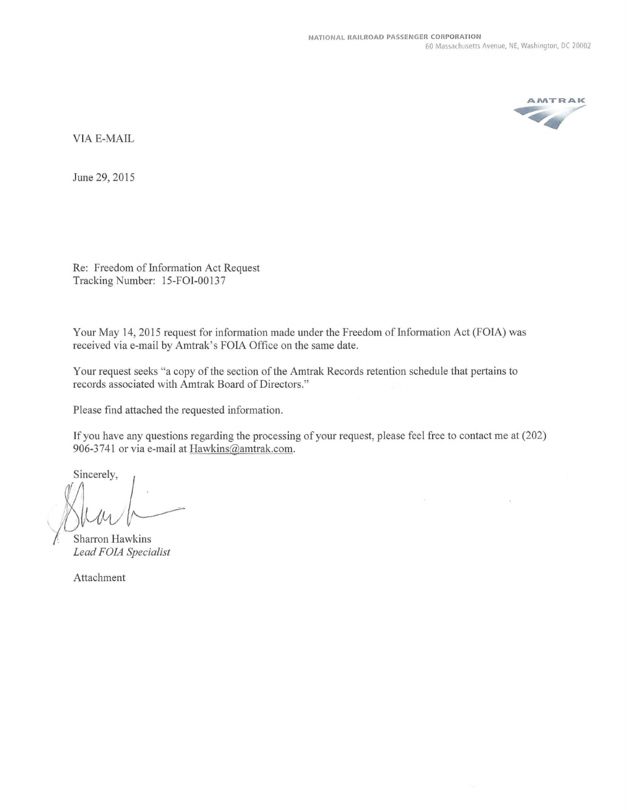

VIA E-MAIL

June 29, 2015

Re: Freedom of Information Act Request Tracking Number: 15-FOI-00137

Your May 14, 2015 request for information made under the Freedom of Information Act (FOIA) was received via e-mail by Amtrak's FOIA Office on the same date.

Your request seeks "a copy of the section of the Amtrak Records retention schedule that pertains to records associated with Amtrak Board of Directors."

Please find attached the requested information.

lfyou have any questions regarding the processing of your request, please feel free to contact me at (202) 906-3741 or via e-mail at Hawkins@amtrak.com.

If you have any qu<br>906-3741 or via e-i<br>Sincerely, *\*'-. *I Muu* / .<br>Sharron Hawkins

*Lead FOIA Specialist* 

Attachment